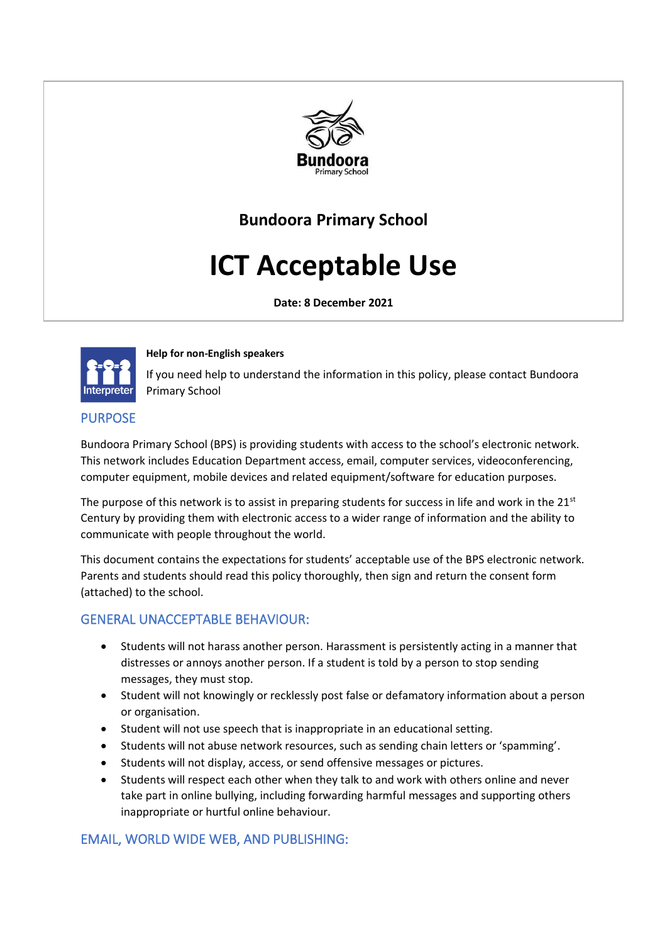

# **Bundoora Primary School**

# **ICT Acceptable Use**

**Date: 8 December 2021**



#### **Help for non-English speakers**

If you need help to understand the information in this policy, please contact Bundoora Primary School

#### PURPOSE

Bundoora Primary School (BPS) is providing students with access to the school's electronic network. This network includes Education Department access, email, computer services, videoconferencing, computer equipment, mobile devices and related equipment/software for education purposes.

The purpose of this network is to assist in preparing students for success in life and work in the  $21<sup>st</sup>$ Century by providing them with electronic access to a wider range of information and the ability to communicate with people throughout the world.

This document contains the expectations for students' acceptable use of the BPS electronic network. Parents and students should read this policy thoroughly, then sign and return the consent form (attached) to the school.

### GENERAL UNACCEPTABLE BEHAVIOUR:

- Students will not harass another person. Harassment is persistently acting in a manner that distresses or annoys another person. If a student is told by a person to stop sending messages, they must stop.
- Student will not knowingly or recklessly post false or defamatory information about a person or organisation.
- Student will not use speech that is inappropriate in an educational setting.
- Students will not abuse network resources, such as sending chain letters or 'spamming'.
- Students will not display, access, or send offensive messages or pictures.
- Students will respect each other when they talk to and work with others online and never take part in online bullying, including forwarding harmful messages and supporting others inappropriate or hurtful online behaviour.

# EMAIL, WORLD WIDE WEB, AND PUBLISHING: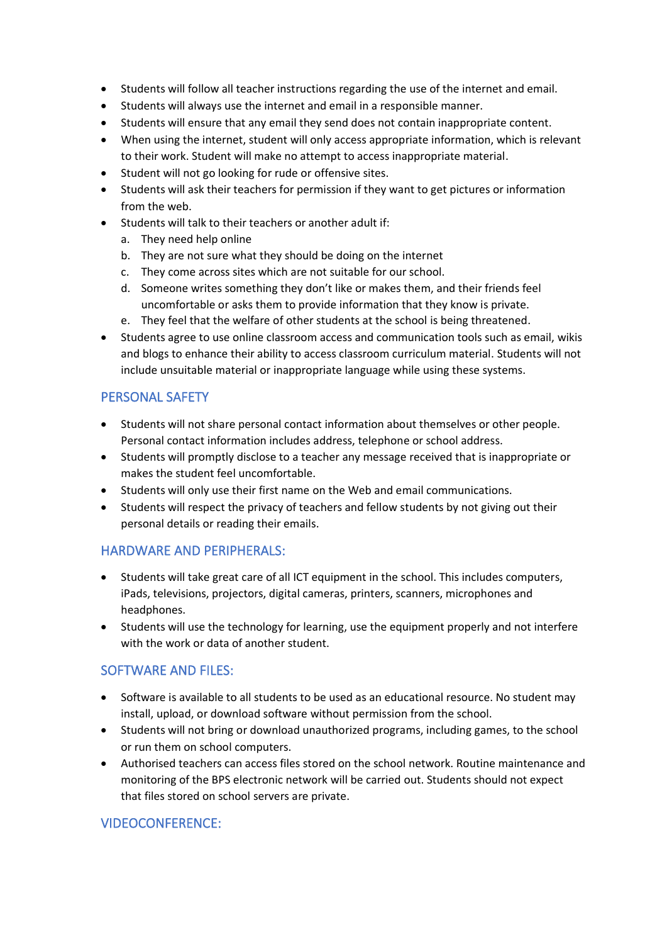- Students will follow all teacher instructions regarding the use of the internet and email.
- Students will always use the internet and email in a responsible manner.
- Students will ensure that any email they send does not contain inappropriate content.
- When using the internet, student will only access appropriate information, which is relevant to their work. Student will make no attempt to access inappropriate material.
- Student will not go looking for rude or offensive sites.
- Students will ask their teachers for permission if they want to get pictures or information from the web.
- Students will talk to their teachers or another adult if:
	- a. They need help online
	- b. They are not sure what they should be doing on the internet
	- c. They come across sites which are not suitable for our school.
	- d. Someone writes something they don't like or makes them, and their friends feel uncomfortable or asks them to provide information that they know is private.
	- e. They feel that the welfare of other students at the school is being threatened.
- Students agree to use online classroom access and communication tools such as email, wikis and blogs to enhance their ability to access classroom curriculum material. Students will not include unsuitable material or inappropriate language while using these systems.

## PERSONAL SAFETY

- Students will not share personal contact information about themselves or other people. Personal contact information includes address, telephone or school address.
- Students will promptly disclose to a teacher any message received that is inappropriate or makes the student feel uncomfortable.
- Students will only use their first name on the Web and email communications.
- Students will respect the privacy of teachers and fellow students by not giving out their personal details or reading their emails.

### HARDWARE AND PERIPHERALS:

- Students will take great care of all ICT equipment in the school. This includes computers, iPads, televisions, projectors, digital cameras, printers, scanners, microphones and headphones.
- Students will use the technology for learning, use the equipment properly and not interfere with the work or data of another student.

### SOFTWARE AND FILES:

- Software is available to all students to be used as an educational resource. No student may install, upload, or download software without permission from the school.
- Students will not bring or download unauthorized programs, including games, to the school or run them on school computers.
- Authorised teachers can access files stored on the school network. Routine maintenance and monitoring of the BPS electronic network will be carried out. Students should not expect that files stored on school servers are private.

# VIDEOCONFERENCE: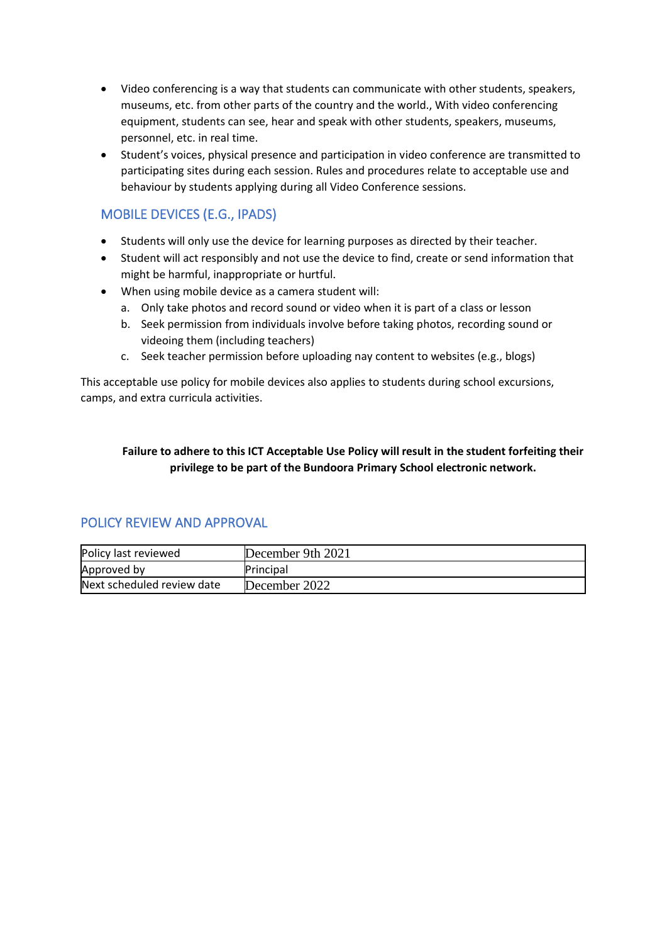- Video conferencing is a way that students can communicate with other students, speakers, museums, etc. from other parts of the country and the world., With video conferencing equipment, students can see, hear and speak with other students, speakers, museums, personnel, etc. in real time.
- Student's voices, physical presence and participation in video conference are transmitted to participating sites during each session. Rules and procedures relate to acceptable use and behaviour by students applying during all Video Conference sessions.

# MOBILE DEVICES (E.G., IPADS)

- Students will only use the device for learning purposes as directed by their teacher.
- Student will act responsibly and not use the device to find, create or send information that might be harmful, inappropriate or hurtful.
- When using mobile device as a camera student will:
	- a. Only take photos and record sound or video when it is part of a class or lesson
	- b. Seek permission from individuals involve before taking photos, recording sound or videoing them (including teachers)
	- c. Seek teacher permission before uploading nay content to websites (e.g., blogs)

This acceptable use policy for mobile devices also applies to students during school excursions, camps, and extra curricula activities.

#### **Failure to adhere to this ICT Acceptable Use Policy will result in the student forfeiting their privilege to be part of the Bundoora Primary School electronic network.**

### POLICY REVIEW AND APPROVAL

| Policy last reviewed       | December 9th 2021 |
|----------------------------|-------------------|
| Approved by                | Principal         |
| Next scheduled review date | December 2022     |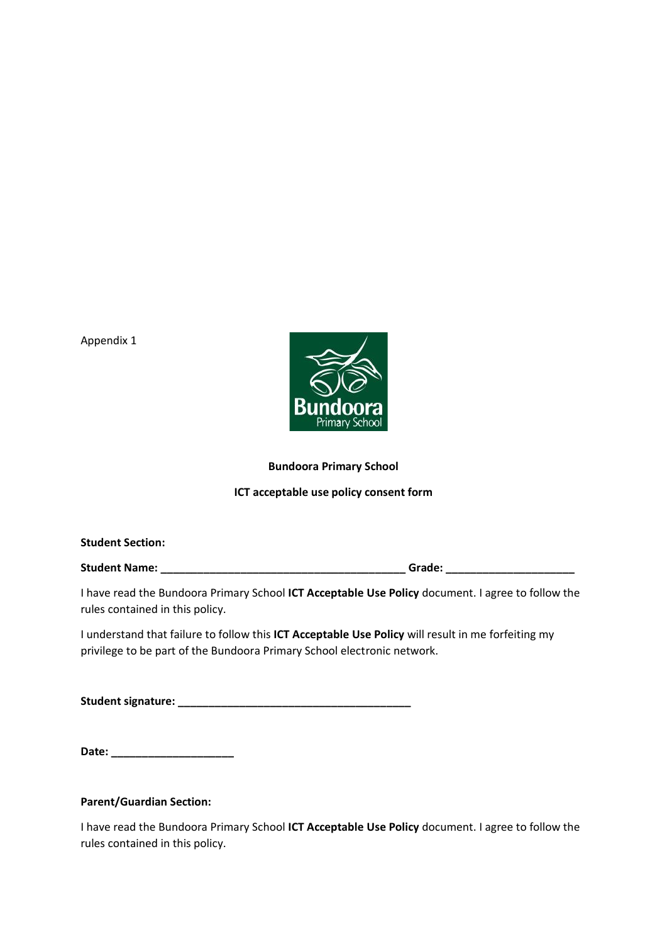Appendix 1



#### **Bundoora Primary School**

#### **ICT acceptable use policy consent form**

| <b>Student Section:</b> |        |  |
|-------------------------|--------|--|
| <b>Student Name:</b>    | Grade: |  |

I have read the Bundoora Primary School **ICT Acceptable Use Policy** document. I agree to follow the rules contained in this policy.

I understand that failure to follow this **ICT Acceptable Use Policy** will result in me forfeiting my privilege to be part of the Bundoora Primary School electronic network.

**Student signature: \_\_\_\_\_\_\_\_\_\_\_\_\_\_\_\_\_\_\_\_\_\_\_\_\_\_\_\_\_\_\_\_\_\_\_\_\_\_**

#### **Parent/Guardian Section:**

I have read the Bundoora Primary School **ICT Acceptable Use Policy** document. I agree to follow the rules contained in this policy.